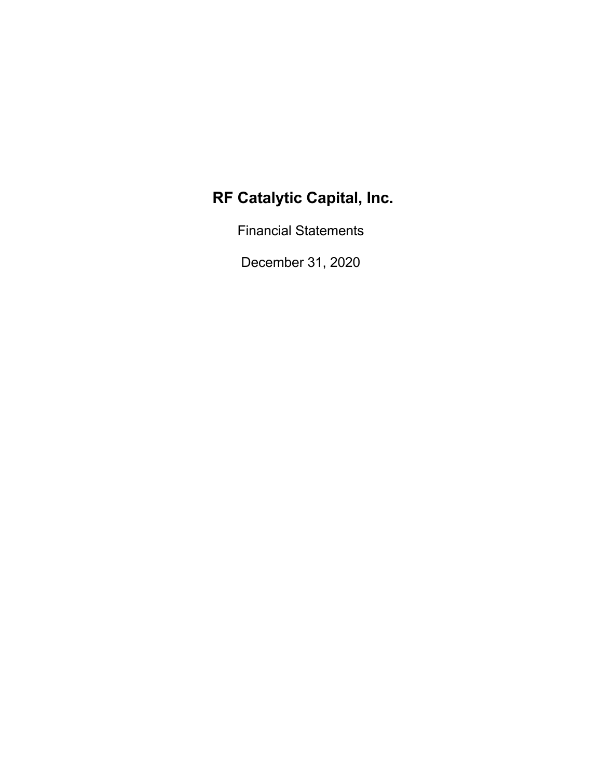Financial Statements

December 31, 2020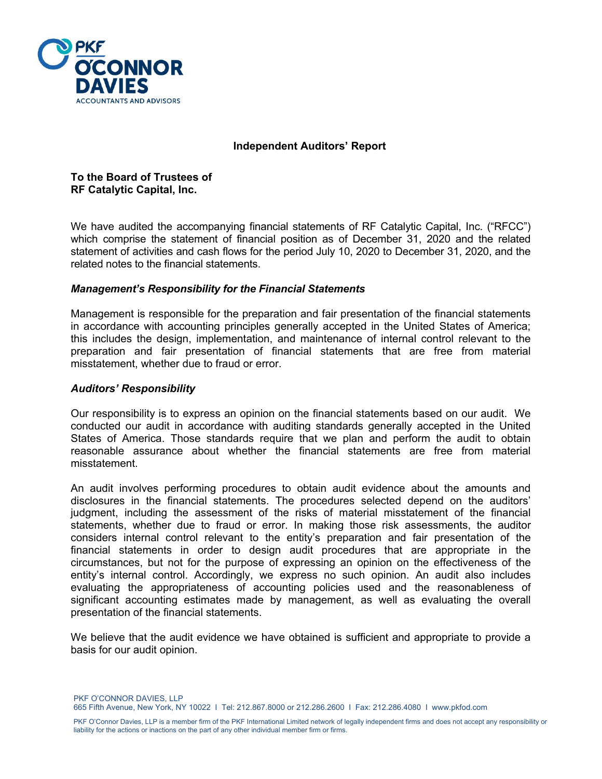

### **Independent Auditors' Report**

**To the Board of Trustees of RF Catalytic Capital, Inc.** 

We have audited the accompanying financial statements of RF Catalytic Capital, Inc. ("RFCC") which comprise the statement of financial position as of December 31, 2020 and the related statement of activities and cash flows for the period July 10, 2020 to December 31, 2020, and the related notes to the financial statements.

## *Management's Responsibility for the Financial Statements*

Management is responsible for the preparation and fair presentation of the financial statements in accordance with accounting principles generally accepted in the United States of America; this includes the design, implementation, and maintenance of internal control relevant to the preparation and fair presentation of financial statements that are free from material misstatement, whether due to fraud or error.

#### *Auditors' Responsibility*

Our responsibility is to express an opinion on the financial statements based on our audit. We conducted our audit in accordance with auditing standards generally accepted in the United States of America. Those standards require that we plan and perform the audit to obtain reasonable assurance about whether the financial statements are free from material misstatement.

An audit involves performing procedures to obtain audit evidence about the amounts and disclosures in the financial statements. The procedures selected depend on the auditors' judgment, including the assessment of the risks of material misstatement of the financial statements, whether due to fraud or error. In making those risk assessments, the auditor considers internal control relevant to the entity's preparation and fair presentation of the financial statements in order to design audit procedures that are appropriate in the circumstances, but not for the purpose of expressing an opinion on the effectiveness of the entity's internal control. Accordingly, we express no such opinion. An audit also includes evaluating the appropriateness of accounting policies used and the reasonableness of significant accounting estimates made by management, as well as evaluating the overall presentation of the financial statements.

We believe that the audit evidence we have obtained is sufficient and appropriate to provide a basis for our audit opinion.

PKF O'CONNOR DAVIES, LLP 665 Fifth Avenue, New York, NY 10022 I Tel: 212.867.8000 or 212.286.2600 I Fax: 212.286.4080 I www.pkfod.com

PKF O'Connor Davies, LLP is a member firm of the PKF International Limited network of legally independent firms and does not accept any responsibility or liability for the actions or inactions on the part of any other individual member firm or firms.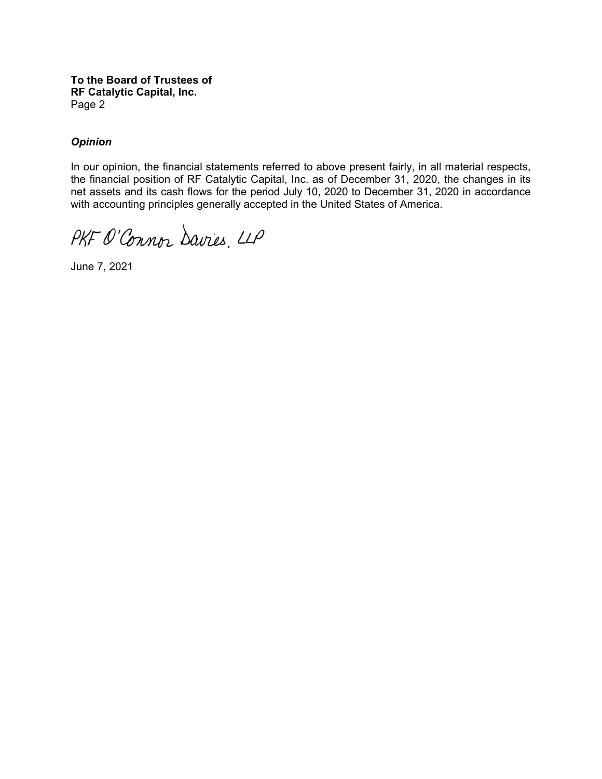**To the Board of Trustees of RF Catalytic Capital, Inc.**  Page 2

## *Opinion*

In our opinion, the financial statements referred to above present fairly, in all material respects, the financial position of RF Catalytic Capital, Inc. as of December 31, 2020, the changes in its net assets and its cash flows for the period July 10, 2020 to December 31, 2020 in accordance with accounting principles generally accepted in the United States of America.

PKF O'Connor Davies, LLP

June 7, 2021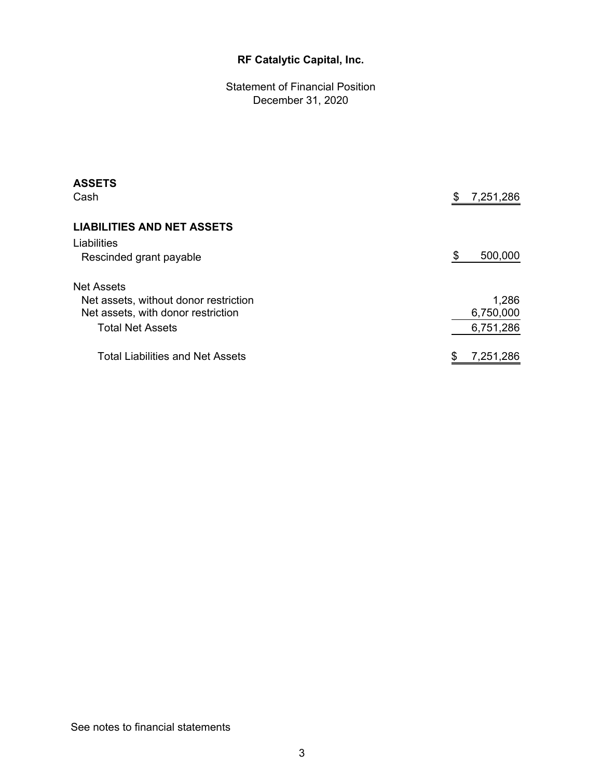Statement of Financial Position December 31, 2020

| <b>ASSETS</b><br>Cash                   | 7,251,286<br>\$ |
|-----------------------------------------|-----------------|
| <b>LIABILITIES AND NET ASSETS</b>       |                 |
| Liabilities                             |                 |
| Rescinded grant payable                 | \$<br>500,000   |
| <b>Net Assets</b>                       |                 |
| Net assets, without donor restriction   | 1,286           |
| Net assets, with donor restriction      | 6,750,000       |
| <b>Total Net Assets</b>                 | 6,751,286       |
| <b>Total Liabilities and Net Assets</b> | 7,251,286       |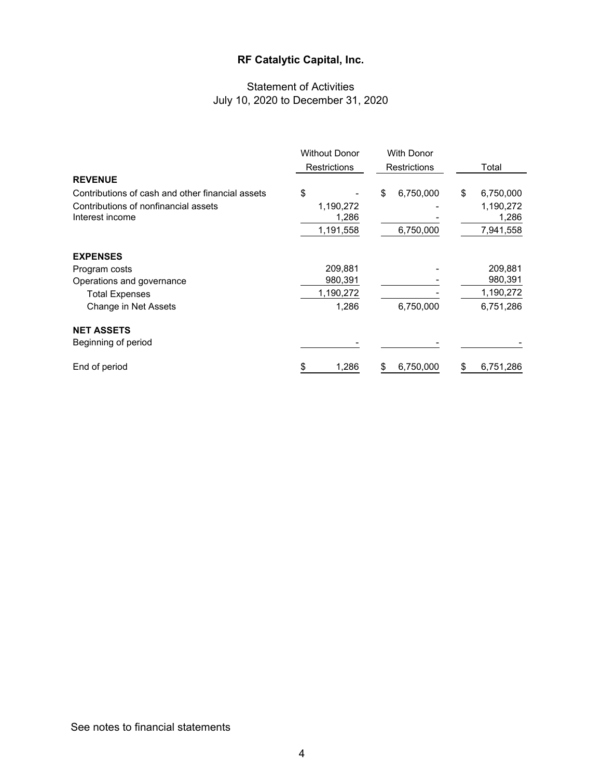# Statement of Activities July 10, 2020 to December 31, 2020

|                                                         | <b>Without Donor</b> | <b>With Donor</b> |                    |  |
|---------------------------------------------------------|----------------------|-------------------|--------------------|--|
|                                                         | Restrictions         | Restrictions      | Total              |  |
| <b>REVENUE</b>                                          |                      |                   |                    |  |
| Contributions of cash and other financial assets        | \$                   | \$<br>6,750,000   | \$<br>6,750,000    |  |
| Contributions of nonfinancial assets<br>Interest income | 1,190,272<br>1,286   |                   | 1,190,272<br>1,286 |  |
|                                                         | 1,191,558            | 6,750,000         | 7,941,558          |  |
| <b>EXPENSES</b>                                         |                      |                   |                    |  |
| Program costs                                           | 209,881              |                   | 209,881            |  |
| Operations and governance                               | 980,391              |                   | 980,391            |  |
| <b>Total Expenses</b>                                   | 1,190,272            |                   | 1,190,272          |  |
| Change in Net Assets                                    | 1,286                | 6,750,000         | 6,751,286          |  |
| <b>NET ASSETS</b>                                       |                      |                   |                    |  |
| Beginning of period                                     |                      |                   |                    |  |
| End of period                                           | 1,286<br>\$          | 6,750,000<br>\$   | 6,751,286<br>\$    |  |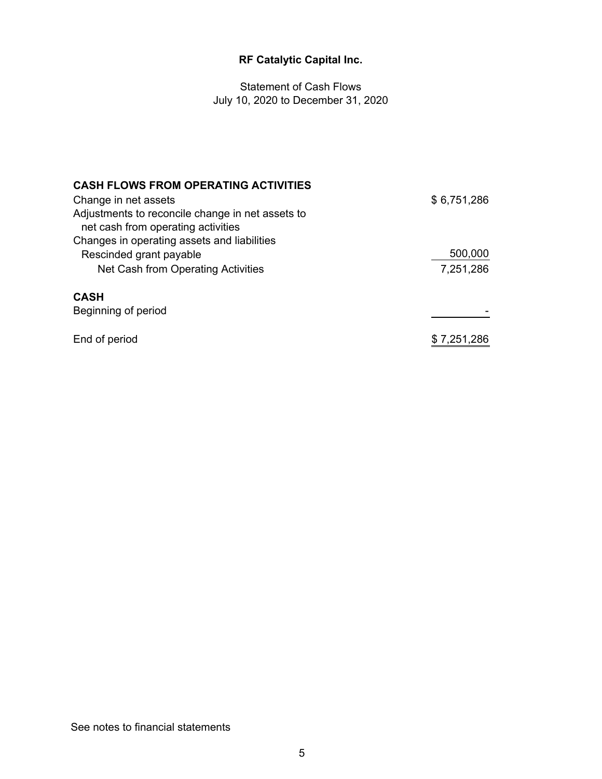Statement of Cash Flows July 10, 2020 to December 31, 2020

| <b>CASH FLOWS FROM OPERATING ACTIVITIES</b>                                            |             |
|----------------------------------------------------------------------------------------|-------------|
| Change in net assets                                                                   | \$6,751,286 |
| Adjustments to reconcile change in net assets to<br>net cash from operating activities |             |
| Changes in operating assets and liabilities                                            |             |
| Rescinded grant payable                                                                | 500,000     |
| Net Cash from Operating Activities                                                     | 7,251,286   |
| <b>CASH</b><br>Beginning of period                                                     |             |
| End of period                                                                          | \$7,251,286 |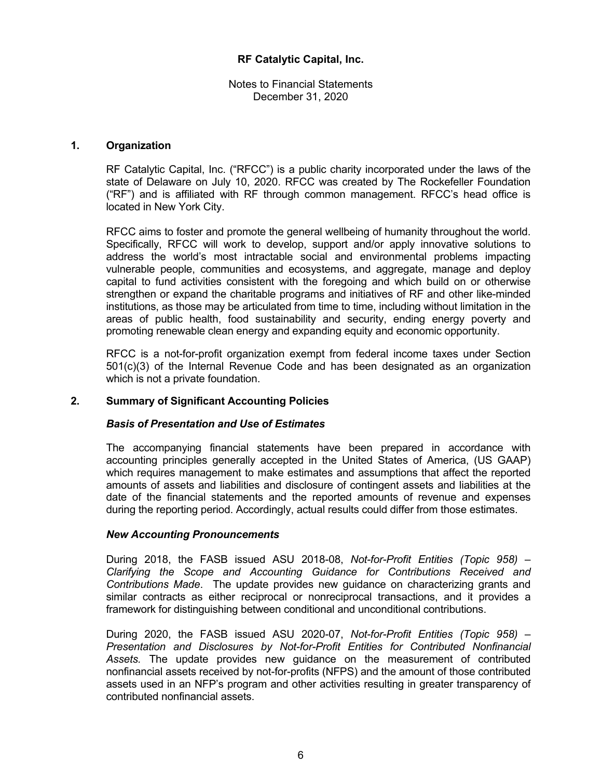Notes to Financial Statements December 31, 2020

#### **1. Organization**

RF Catalytic Capital, Inc. ("RFCC") is a public charity incorporated under the laws of the state of Delaware on July 10, 2020. RFCC was created by The Rockefeller Foundation ("RF") and is affiliated with RF through common management. RFCC's head office is located in New York City.

RFCC aims to foster and promote the general wellbeing of humanity throughout the world. Specifically, RFCC will work to develop, support and/or apply innovative solutions to address the world's most intractable social and environmental problems impacting vulnerable people, communities and ecosystems, and aggregate, manage and deploy capital to fund activities consistent with the foregoing and which build on or otherwise strengthen or expand the charitable programs and initiatives of RF and other like-minded institutions, as those may be articulated from time to time, including without limitation in the areas of public health, food sustainability and security, ending energy poverty and promoting renewable clean energy and expanding equity and economic opportunity.

RFCC is a not-for-profit organization exempt from federal income taxes under Section 501(c)(3) of the Internal Revenue Code and has been designated as an organization which is not a private foundation.

### **2. Summary of Significant Accounting Policies**

#### *Basis of Presentation and Use of Estimates*

The accompanying financial statements have been prepared in accordance with accounting principles generally accepted in the United States of America, (US GAAP) which requires management to make estimates and assumptions that affect the reported amounts of assets and liabilities and disclosure of contingent assets and liabilities at the date of the financial statements and the reported amounts of revenue and expenses during the reporting period. Accordingly, actual results could differ from those estimates.

#### *New Accounting Pronouncements*

During 2018, the FASB issued ASU 2018-08, *Not-for-Profit Entities (Topic 958) – Clarifying the Scope and Accounting Guidance for Contributions Received and Contributions Made*. The update provides new guidance on characterizing grants and similar contracts as either reciprocal or nonreciprocal transactions, and it provides a framework for distinguishing between conditional and unconditional contributions.

During 2020, the FASB issued ASU 2020-07, *Not-for-Profit Entities (Topic 958) – Presentation and Disclosures by Not-for-Profit Entities for Contributed Nonfinancial Assets.* The update provides new guidance on the measurement of contributed nonfinancial assets received by not-for-profits (NFPS) and the amount of those contributed assets used in an NFP's program and other activities resulting in greater transparency of contributed nonfinancial assets.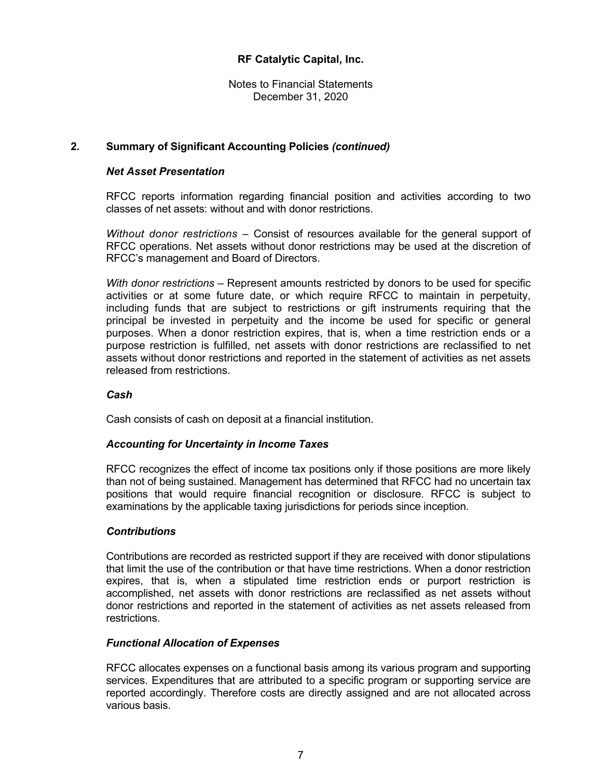Notes to Financial Statements December 31, 2020

# **2. Summary of Significant Accounting Policies** *(continued)*

### *Net Asset Presentation*

RFCC reports information regarding financial position and activities according to two classes of net assets: without and with donor restrictions.

*Without donor restrictions –* Consist of resources available for the general support of RFCC operations. Net assets without donor restrictions may be used at the discretion of RFCC's management and Board of Directors.

*With donor restrictions –* Represent amounts restricted by donors to be used for specific activities or at some future date, or which require RFCC to maintain in perpetuity, including funds that are subject to restrictions or gift instruments requiring that the principal be invested in perpetuity and the income be used for specific or general purposes. When a donor restriction expires, that is, when a time restriction ends or a purpose restriction is fulfilled, net assets with donor restrictions are reclassified to net assets without donor restrictions and reported in the statement of activities as net assets released from restrictions.

# *Cash*

Cash consists of cash on deposit at a financial institution.

#### *Accounting for Uncertainty in Income Taxes*

RFCC recognizes the effect of income tax positions only if those positions are more likely than not of being sustained. Management has determined that RFCC had no uncertain tax positions that would require financial recognition or disclosure. RFCC is subject to examinations by the applicable taxing jurisdictions for periods since inception.

#### *Contributions*

Contributions are recorded as restricted support if they are received with donor stipulations that limit the use of the contribution or that have time restrictions. When a donor restriction expires, that is, when a stipulated time restriction ends or purport restriction is accomplished, net assets with donor restrictions are reclassified as net assets without donor restrictions and reported in the statement of activities as net assets released from restrictions.

#### *Functional Allocation of Expenses*

RFCC allocates expenses on a functional basis among its various program and supporting services. Expenditures that are attributed to a specific program or supporting service are reported accordingly. Therefore costs are directly assigned and are not allocated across various basis.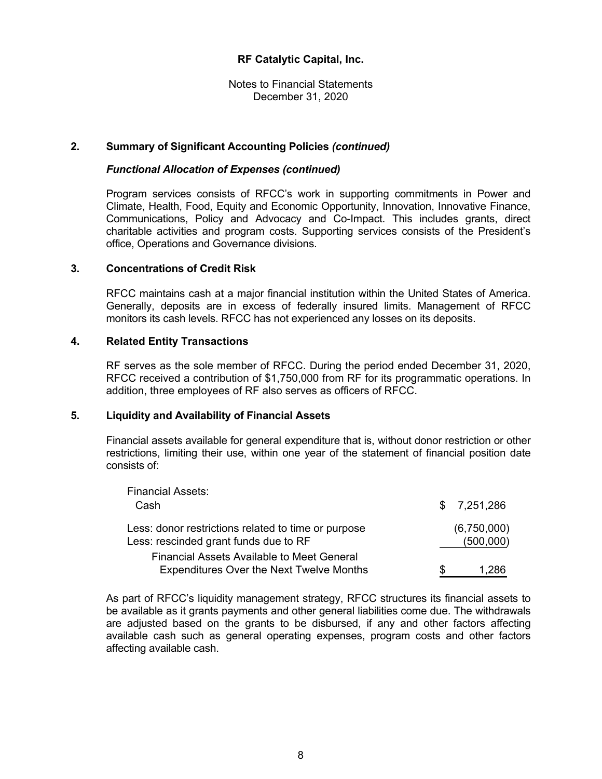Notes to Financial Statements December 31, 2020

### **2. Summary of Significant Accounting Policies** *(continued)*

#### *Functional Allocation of Expenses (continued)*

Program services consists of RFCC's work in supporting commitments in Power and Climate, Health, Food, Equity and Economic Opportunity, Innovation, Innovative Finance, Communications, Policy and Advocacy and Co-Impact. This includes grants, direct charitable activities and program costs. Supporting services consists of the President's office, Operations and Governance divisions.

#### **3. Concentrations of Credit Risk**

RFCC maintains cash at a major financial institution within the United States of America. Generally, deposits are in excess of federally insured limits. Management of RFCC monitors its cash levels. RFCC has not experienced any losses on its deposits.

# **4. Related Entity Transactions**

RF serves as the sole member of RFCC. During the period ended December 31, 2020, RFCC received a contribution of \$1,750,000 from RF for its programmatic operations. In addition, three employees of RF also serves as officers of RFCC.

#### **5. Liquidity and Availability of Financial Assets**

Financial assets available for general expenditure that is, without donor restriction or other restrictions, limiting their use, within one year of the statement of financial position date consists of:

| <b>Financial Assets:</b>                                                                             |                          |
|------------------------------------------------------------------------------------------------------|--------------------------|
| Cash                                                                                                 | \$7,251,286              |
| Less: donor restrictions related to time or purpose<br>Less: rescinded grant funds due to RF         | (6,750,000)<br>(500,000) |
| <b>Financial Assets Available to Meet General</b><br><b>Expenditures Over the Next Twelve Months</b> | 1.286                    |

As part of RFCC's liquidity management strategy, RFCC structures its financial assets to be available as it grants payments and other general liabilities come due. The withdrawals are adjusted based on the grants to be disbursed, if any and other factors affecting available cash such as general operating expenses, program costs and other factors affecting available cash.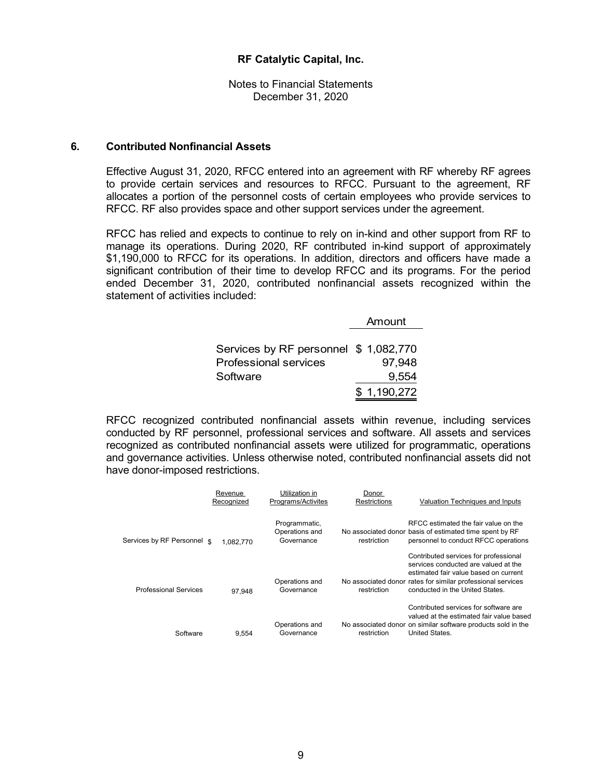Notes to Financial Statements December 31, 2020

#### **6. Contributed Nonfinancial Assets**

Effective August 31, 2020, RFCC entered into an agreement with RF whereby RF agrees to provide certain services and resources to RFCC. Pursuant to the agreement, RF allocates a portion of the personnel costs of certain employees who provide services to RFCC. RF also provides space and other support services under the agreement.

RFCC has relied and expects to continue to rely on in-kind and other support from RF to manage its operations. During 2020, RF contributed in-kind support of approximately \$1,190,000 to RFCC for its operations. In addition, directors and officers have made a significant contribution of their time to develop RFCC and its programs. For the period ended December 31, 2020, contributed nonfinancial assets recognized within the statement of activities included:

|                                       | Amount      |
|---------------------------------------|-------------|
|                                       |             |
| Services by RF personnel \$ 1,082,770 |             |
| <b>Professional services</b>          | 97,948      |
| Software                              | 9,554       |
|                                       | \$1,190,272 |

RFCC recognized contributed nonfinancial assets within revenue, including services conducted by RF personnel, professional services and software. All assets and services recognized as contributed nonfinancial assets were utilized for programmatic, operations and governance activities. Unless otherwise noted, contributed nonfinancial assets did not have donor-imposed restrictions.

|                              | Revenue<br>Recognized | Utilization in<br>Programs/Activites          | Donor<br><b>Restrictions</b> | Valuation Techniques and Inputs                                                                                                                                                                                          |
|------------------------------|-----------------------|-----------------------------------------------|------------------------------|--------------------------------------------------------------------------------------------------------------------------------------------------------------------------------------------------------------------------|
| Services by RF Personnel \$  | 1,082,770             | Programmatic,<br>Operations and<br>Governance | restriction                  | RFCC estimated the fair value on the<br>No associated donor basis of estimated time spent by RF<br>personnel to conduct RFCC operations                                                                                  |
| <b>Professional Services</b> | 97.948                | Operations and<br>Governance                  | restriction                  | Contributed services for professional<br>services conducted are valued at the<br>estimated fair value based on current<br>No associated donor rates for similar professional services<br>conducted in the United States. |
| Software                     | 9.554                 | Operations and<br>Governance                  | restriction                  | Contributed services for software are<br>valued at the estimated fair value based<br>No associated donor on similar software products sold in the<br>United States.                                                      |